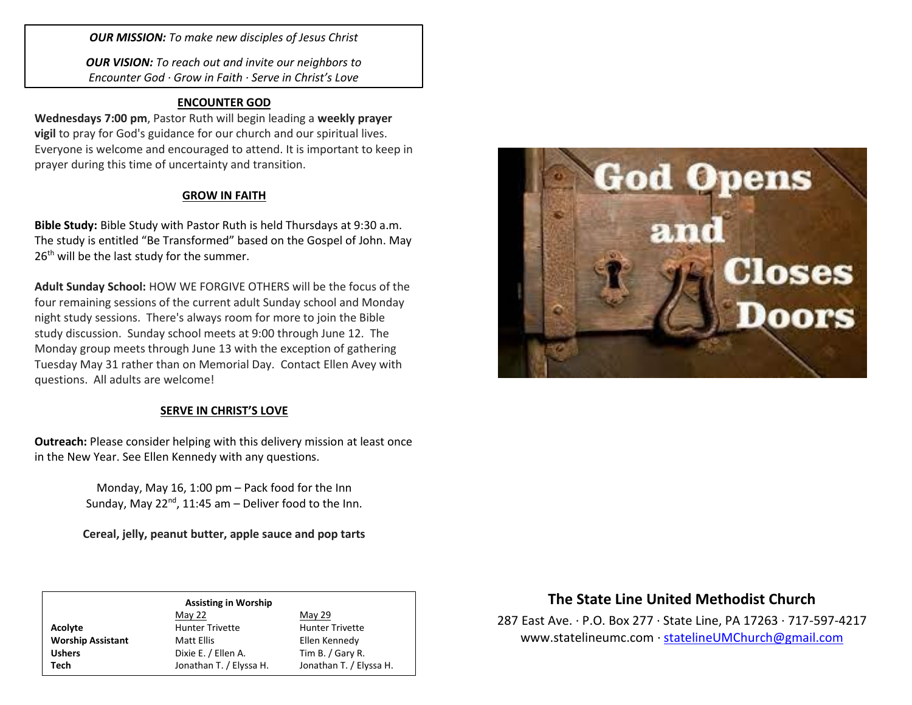*OUR MISSION: To make new disciples of Jesus Christ*

*OUR VISION: To reach out and invite our neighbors to Encounter God · Grow in Faith · Serve in Christ's Love*

### **ENCOUNTER GOD**

**Wednesdays 7:00 pm**, Pastor Ruth will begin leading a **weekly prayer vigil** to pray for God's guidance for our church and our spiritual lives. Everyone is welcome and encouraged to attend. It is important to keep in prayer during this time of uncertainty and transition.

## **GROW IN FAITH**

**Bible Study:** Bible Study with Pastor Ruth is held Thursdays at 9:30 a.m. The study is entitled "Be Transformed" based on the Gospel of John. May 26<sup>th</sup> will be the last study for the summer.

**Adult Sunday School:** HOW WE FORGIVE OTHERS will be the focus of the four remaining sessions of the current adult Sunday school and Monday night study sessions. There's always room for more to join the Bible study discussion. Sunday school meets at 9:00 through June 12. The Monday group meets through June 13 with the exception of gathering Tuesday May 31 rather than on Memorial Day. Contact Ellen Avey with questions. All adults are welcome!

#### **SERVE IN CHRIST'S LOVE**

**Outreach:** Please consider helping with this delivery mission at least once in the New Year. See Ellen Kennedy with any questions.

> Monday, May 16, 1:00 pm – Pack food for the Inn Sunday, May  $22^{nd}$ , 11:45 am – Deliver food to the Inn.

> **Cereal, jelly, peanut butter, apple sauce and pop tarts**

| <b>Assisting in Worship</b> |                         |                         |  |
|-----------------------------|-------------------------|-------------------------|--|
|                             | May 22                  | May 29                  |  |
| <b>Acolyte</b>              | <b>Hunter Trivette</b>  | <b>Hunter Trivette</b>  |  |
| <b>Worship Assistant</b>    | Matt Ellis              | Ellen Kennedy           |  |
| <b>Ushers</b>               | Dixie E. / Ellen A.     | Tim B. / Gary R.        |  |
| Tech                        | Jonathan T. / Elyssa H. | Jonathan T. / Elyssa H. |  |



# **The State Line United Methodist Church**

287 East Ave. · P.O. Box 277 · State Line, PA 17263 · 717-597-4217 [www.statelineumc.com](http://www.statelineumc.com/) · [statelineUMChurch@gmail.com](mailto:statelineUMChurch@gmail.com)